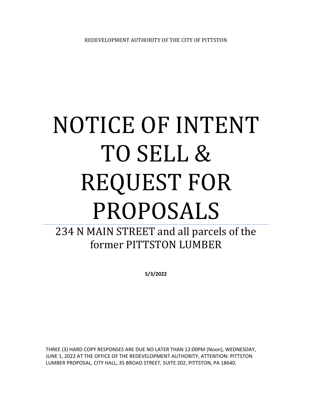# NOTICE OF INTENT TO SELL & REQUEST FOR PROPOSALS

## 234 N MAIN STREET and all parcels of the former PITTSTON LUMBER

**5/3/2022**

THREE (3) HARD COPY RESPONSES ARE DUE NO LATER THAN 12:00PM (Noon), WEDNESDAY, JUNE 1, 2022 AT THE OFFICE OF THE REDEVELOPMENT AUTHORITY, ATTENTION: PITTSTON LUMBER PROPOSAL, CITY HALL, 35 BROAD STREET, SUITE 202, PITTSTON, PA 18640.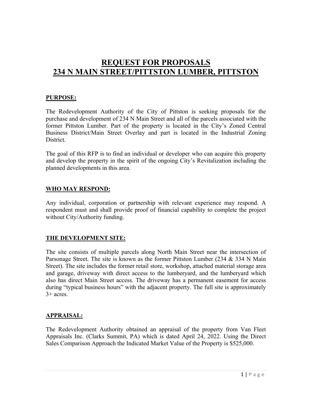### **REQUEST FOR PROPOSALS 234 N MAIN STREET/PITTSTON LUMBER, PITTSTON**

#### **PURPOSE:**

The Redevelopment Authority of the City of Pittston is seeking proposals for the purchase and development of 234 N Main Street and all of the parcels associated with the former Pittston Lumber. Part of the property is located in the City's Zoned Central Business District/Main Street Overlay and part is located in the Industrial Zoning District.

The goal of this RFP is to find an individual or developer who can acquire this property and develop the property in the spirit of the ongoing City's Revitalization including the planned developments in this area.

#### **WHO MAY RESPOND:**

Any individual, corporation or partnership with relevant experience may respond. A respondent must and shall provide proof of financial capability to complete the project without City/Authority funding.

#### **THE DEVELOPMENT SITE:**

The site consists of multiple parcels along North Main Street near the intersection of Parsonage Street. The site is known as the former Pittston Lumber (234 & 334 N Main Street). The site includes the former retail store, workshop, attached material storage area and garage, driveway with direct access to the lumberyard, and the lumberyard which also has direct Main Street access. The driveway has a permanent easement for access during "typical business hours" with the adjacent property. The full site is approximately 3+ acres.

#### **APPRAISAL:**

The Redevelopment Authority obtained an appraisal of the property from Van Fleet Appraisals Inc. (Clarks Summit, PA) which is dated April 24, 2022. Using the Direct Sales Comparison Approach the Indicated Market Value of the Property is \$525,000.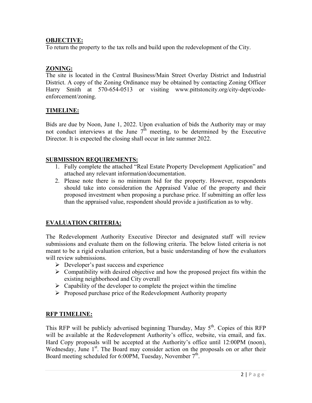#### **OBJECTIVE:**

To return the property to the tax rolls and build upon the redevelopment of the City.

#### **ZONING:**

The site is located in the Central Business/Main Street Overlay District and Industrial District. A copy of the Zoning Ordinance may be obtained by contacting Zoning Officer Harry Smith at 570-654-0513 or visiting www.pittstoncity.org/city-dept/codeenforcement/zoning.

#### **TIMELINE:**

Bids are due by Noon, June 1, 2022. Upon evaluation of bids the Authority may or may not conduct interviews at the June  $7<sup>th</sup>$  meeting, to be determined by the Executive Director. It is expected the closing shall occur in late summer 2022.

#### **SUBMISSION REQUIREMENTS:**

- 1. Fully complete the attached "Real Estate Property Development Application" and attached any relevant information/documentation.
- 2. Please note there is no minimum bid for the property. However, respondents should take into consideration the Appraised Value of the property and their proposed investment when proposing a purchase price. If submitting an offer less than the appraised value, respondent should provide a justification as to why.

#### **EVALUATION CRITERIA:**

The Redevelopment Authority Executive Director and designated staff will review submissions and evaluate them on the following criteria. The below listed criteria is not meant to be a rigid evaluation criterion, but a basic understanding of how the evaluators will review submissions.

- $\triangleright$  Developer's past success and experience
- $\triangleright$  Compatibility with desired objective and how the proposed project fits within the existing neighborhood and City overall
- $\triangleright$  Capability of the developer to complete the project within the timeline
- $\triangleright$  Proposed purchase price of the Redevelopment Authority property

#### **RFP TIMELINE:**

This RFP will be publicly advertised beginning Thursday, May  $5<sup>th</sup>$ . Copies of this RFP will be available at the Redevelopment Authority's office, website, via email, and fax. Hard Copy proposals will be accepted at the Authority's office until 12:00PM (noon), Wednesday, June  $1<sup>st</sup>$ . The Board may consider action on the proposals on or after their Board meeting scheduled for 6:00PM, Tuesday, November 7<sup>th</sup>.